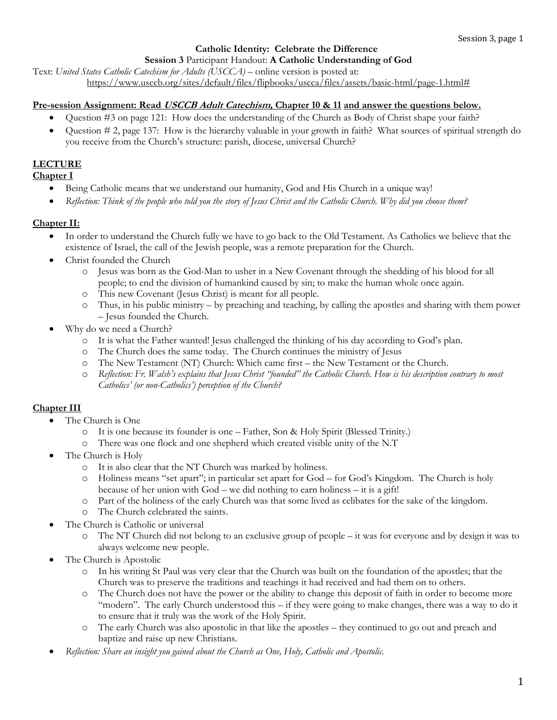#### **Catholic Identity: Celebrate the Difference**

**Session 3** Participant Handout: **A Catholic Understanding of God**

Text: *United States Catholic Catechism for Adults (USCCA)* – online version is posted at: [https://www.usccb.org/sites/default/files/flipbooks/uscca/files/assets/basic-html/page-1.html#](https://www.usccb.org/sites/default/files/flipbooks/uscca/files/assets/basic-html/page-1.html)

## **Pre-session Assignment: Read USCCB Adult Catechism, Chapter 10 & 11 and answer the questions below.**

- Question #3 on page 121: How does the understanding of the Church as Body of Christ shape your faith?
- Question # 2, page 137: How is the hierarchy valuable in your growth in faith? What sources of spiritual strength do you receive from the Church's structure: parish, diocese, universal Church?

# **LECTURE**

#### **Chapter I**

- Being Catholic means that we understand our humanity, God and His Church in a unique way!
- *Reflection: Think of the people who told you the story of Jesus Christ and the Catholic Church. Why did you choose them?*

## **Chapter II:**

- In order to understand the Church fully we have to go back to the Old Testament. As Catholics we believe that the existence of Israel, the call of the Jewish people, was a remote preparation for the Church.
- Christ founded the Church
	- o Jesus was born as the God-Man to usher in a New Covenant through the shedding of his blood for all people; to end the division of humankind caused by sin; to make the human whole once again.
	- o This new Covenant (Jesus Christ) is meant for all people.
	- o Thus, in his public ministry by preaching and teaching, by calling the apostles and sharing with them power – Jesus founded the Church.
- Why do we need a Church?
	- o It is what the Father wanted! Jesus challenged the thinking of his day according to God's plan.
	- o The Church does the same today. The Church continues the ministry of Jesus
	- o The New Testament (NT) Church: Which came first the New Testament or the Church.
	- o *Reflection: Fr. Walsh's explains that Jesus Christ "founded" the Catholic Church. How is his description contrary to most Catholics' (or non-Catholics') perception of the Church?*

# **Chapter III**

- The Church is One
	- o It is one because its founder is one Father, Son & Holy Spirit (Blessed Trinity.)
	- o There was one flock and one shepherd which created visible unity of the N.T
- The Church is Holy
	- o It is also clear that the NT Church was marked by holiness.
	- o Holiness means "set apart"; in particular set apart for God for God's Kingdom. The Church is holy because of her union with God – we did nothing to earn holiness – it is a gift!
	- o Part of the holiness of the early Church was that some lived as celibates for the sake of the kingdom.
	- o The Church celebrated the saints.
- The Church is Catholic or universal
	- o The NT Church did not belong to an exclusive group of people it was for everyone and by design it was to always welcome new people.
- The Church is Apostolic
	- o In his writing St Paul was very clear that the Church was built on the foundation of the apostles; that the Church was to preserve the traditions and teachings it had received and had them on to others.
	- o The Church does not have the power or the ability to change this deposit of faith in order to become more "modern". The early Church understood this – if they were going to make changes, there was a way to do it to ensure that it truly was the work of the Holy Spirit.
	- o The early Church was also apostolic in that like the apostles they continued to go out and preach and baptize and raise up new Christians.
- *Reflection: Share an insight you gained about the Church as One, Holy, Catholic and Apostolic.*